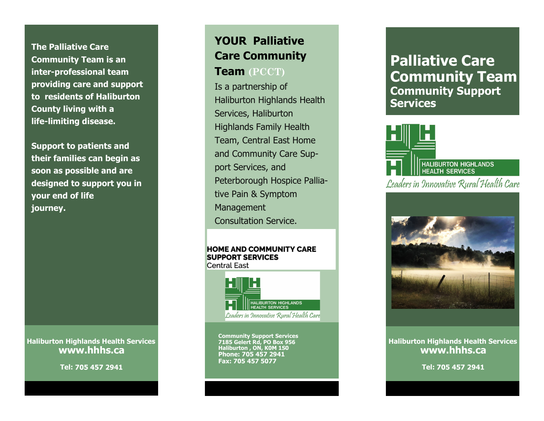**The Palliative Care Community Team is an inter-professional team providing care and support to residents of Haliburton County living with a life-limiting disease.** 

**Support to patients and their families can begin as soon as possible and are designed to support you in your end of life journey.** 

**Haliburton Highlands Health Services www.hhhs.ca**

**Tel:** 

# **YOUR Palliative Care Community Team (PCCT)**

Is a partnership of Haliburton Highlands Health Services, Haliburton Highlands Family Health Team, Central East Home and Community Care Support Services, and Peterborough Hospice Palliative Pain & Symptom Management Consultation Service.

#### **HOME AND COMMUNITY CARE SUPPORT SERVICES Central East**



**Community Support Services 7185 Gelert Rd, PO Box 956 Haliburton , ON, K0M 1S0 Phone: 705 457 2941 Fax: 705 457 5077**

### **Palliative Care Community Team Community Support Services**





**Haliburton Highlands Health Services www.hhhs.ca**

**Tel:**